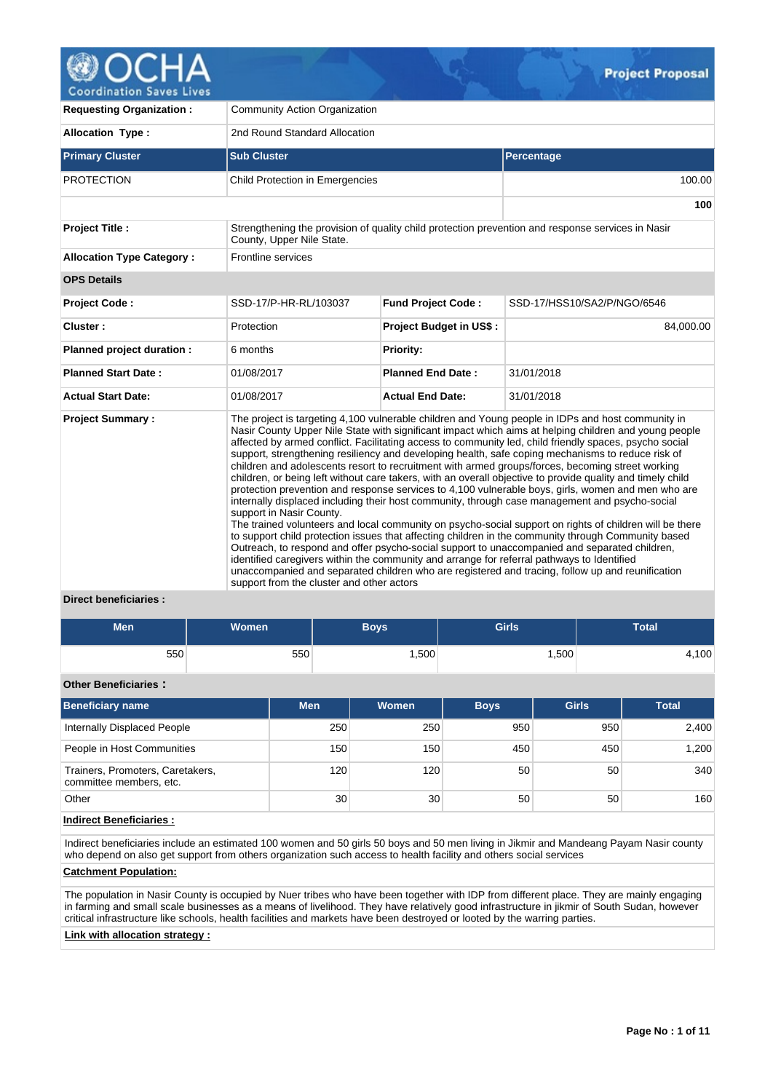

**Requesting Organization :** Community Action Organization **Allocation Type :** 2nd Round Standard Allocation **Primary Cluster Sub Cluster Sub Cluster** Sub Cluster Sub Cluster Sub Cluster Sub Cluster Sub Cluster Sub Cluster PROTECTION Child Protection in Emergencies 100.00 100.00 **100 Project Title :** Strengthening the provision of quality child protection prevention and response services in Nasir County, Upper Nile State. **Allocation Type Category :** Frontline services **OPS Details Project Code :** SSD-17/P-HR-RL/103037 **Fund Project Code :** SSD-17/HSS10/SA2/P/NGO/6546 **Cluster : Protection Protection Project Budget in US\$ :** 84,000.00 **Planned project duration :** 6 months **Planned Priority: Planned Start Date :** 01/08/2017 **Planned End Date :** 31/01/2018 **Actual Start Date:** 01/08/2017 **Actual End Date:** 31/01/2018 **Project Summary :** The project is targeting 4,100 vulnerable children and Young people in IDPs and host community in Nasir County Upper Nile State with significant impact which aims at helping children and young people affected by armed conflict. Facilitating access to community led, child friendly spaces, psycho social support, strengthening resiliency and developing health, safe coping mechanisms to reduce risk of children and adolescents resort to recruitment with armed groups/forces, becoming street working children, or being left without care takers, with an overall objective to provide quality and timely child protection prevention and response services to 4,100 vulnerable boys, girls, women and men who are internally displaced including their host community, through case management and psycho-social support in Nasir County. The trained volunteers and local community on psycho-social support on rights of children will be there to support child protection issues that affecting children in the community through Community based Outreach, to respond and offer psycho-social support to unaccompanied and separated children, identified caregivers within the community and arrange for referral pathways to Identified unaccompanied and separated children who are registered and tracing, follow up and reunification support from the cluster and other actors

# **Direct beneficiaries :**

| Men | Women <sup>1</sup> | Boys' | <b>Girls</b> | Total |
|-----|--------------------|-------|--------------|-------|
| 550 | 550                | ,500  | .500         | 4,100 |

# **Other Beneficiaries :**

| <b>Beneficiary name</b>                                     | <b>Men</b>      | Women | <b>Boys</b> | <b>Girls</b> | <b>Total</b> |
|-------------------------------------------------------------|-----------------|-------|-------------|--------------|--------------|
| Internally Displaced People                                 | 250             | 250   | 950         | 950          | 2,400        |
| People in Host Communities                                  | 150             | 150   | 450         | 450          | 1,200        |
| Trainers, Promoters, Caretakers,<br>committee members, etc. | 120             | 120   | 50          | 50           | 340          |
| Other                                                       | 30 <sup>1</sup> | 30    | 50          | 50           | 160          |

## **Indirect Beneficiaries :**

Indirect beneficiaries include an estimated 100 women and 50 girls 50 boys and 50 men living in Jikmir and Mandeang Payam Nasir county who depend on also get support from others organization such access to health facility and others social services

## **Catchment Population:**

The population in Nasir County is occupied by Nuer tribes who have been together with IDP from different place. They are mainly engaging in farming and small scale businesses as a means of livelihood. They have relatively good infrastructure in jikmir of South Sudan, however critical infrastructure like schools, health facilities and markets have been destroyed or looted by the warring parties.

## **Link with allocation strategy :**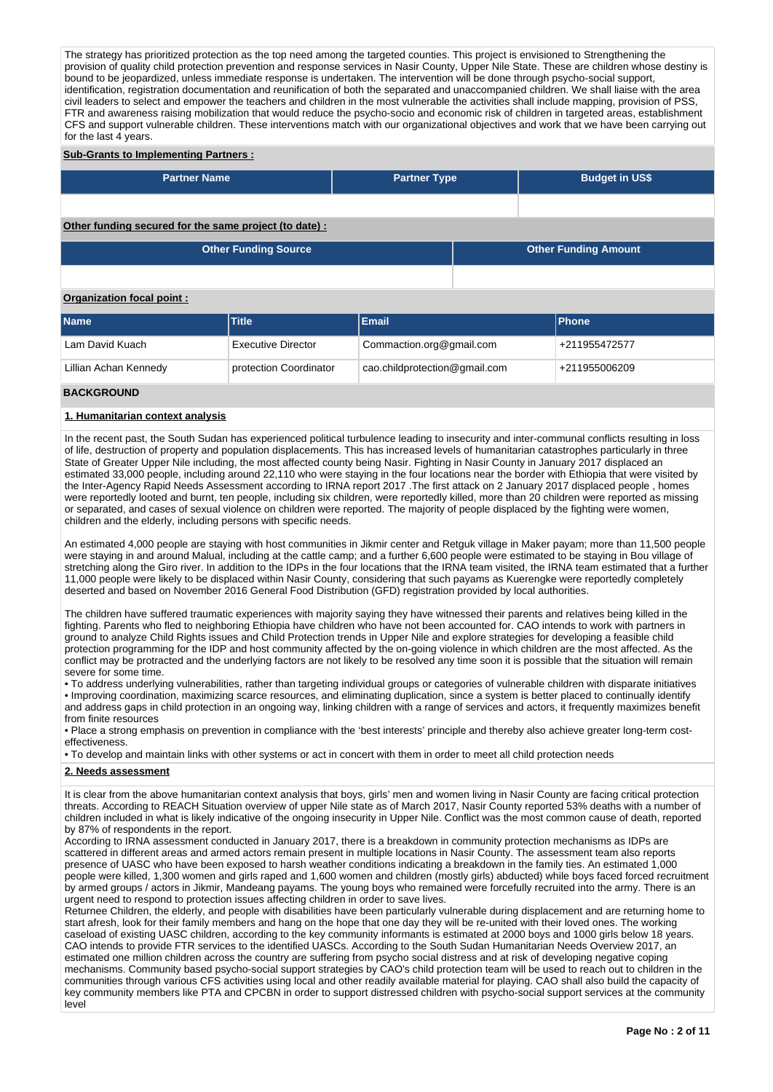The strategy has prioritized protection as the top need among the targeted counties. This project is envisioned to Strengthening the provision of quality child protection prevention and response services in Nasir County, Upper Nile State. These are children whose destiny is bound to be jeopardized, unless immediate response is undertaken. The intervention will be done through psycho-social support, identification, registration documentation and reunification of both the separated and unaccompanied children. We shall liaise with the area civil leaders to select and empower the teachers and children in the most vulnerable the activities shall include mapping, provision of PSS, FTR and awareness raising mobilization that would reduce the psycho-socio and economic risk of children in targeted areas, establishment CFS and support vulnerable children. These interventions match with our organizational objectives and work that we have been carrying out for the last 4 years.

#### **Sub-Grants to Implementing Partners :**

| <b>Partner Name</b>                                   | <b>Partner Type</b> | <b>Budget in US\$</b>       |  |
|-------------------------------------------------------|---------------------|-----------------------------|--|
|                                                       |                     |                             |  |
|                                                       |                     |                             |  |
|                                                       |                     |                             |  |
| Other funding secured for the same project (to date): |                     |                             |  |
|                                                       |                     |                             |  |
| <b>Other Funding Source</b>                           |                     | <b>Other Funding Amount</b> |  |

# **Organization focal point :**

| <b>Name</b>           | <b>Title</b>              | Email                         | <b>IPhone</b> |
|-----------------------|---------------------------|-------------------------------|---------------|
| Lam David Kuach       | <b>Executive Director</b> | Commaction.org@gmail.com      | +211955472577 |
| Lillian Achan Kennedy | protection Coordinator    | cao.childprotection@gmail.com | +211955006209 |

## **BACKGROUND**

## **1. Humanitarian context analysis**

In the recent past, the South Sudan has experienced political turbulence leading to insecurity and inter-communal conflicts resulting in loss of life, destruction of property and population displacements. This has increased levels of humanitarian catastrophes particularly in three State of Greater Upper Nile including, the most affected county being Nasir. Fighting in Nasir County in January 2017 displaced an estimated 33,000 people, including around 22,110 who were staying in the four locations near the border with Ethiopia that were visited by the Inter-Agency Rapid Needs Assessment according to IRNA report 2017 .The first attack on 2 January 2017 displaced people , homes were reportedly looted and burnt, ten people, including six children, were reportedly killed, more than 20 children were reported as missing or separated, and cases of sexual violence on children were reported. The majority of people displaced by the fighting were women, children and the elderly, including persons with specific needs.

An estimated 4,000 people are staying with host communities in Jikmir center and Retguk village in Maker payam; more than 11,500 people were staying in and around Malual, including at the cattle camp; and a further 6,600 people were estimated to be staying in Bou village of stretching along the Giro river. In addition to the IDPs in the four locations that the IRNA team visited, the IRNA team estimated that a further 11,000 people were likely to be displaced within Nasir County, considering that such payams as Kuerengke were reportedly completely deserted and based on November 2016 General Food Distribution (GFD) registration provided by local authorities.

The children have suffered traumatic experiences with majority saying they have witnessed their parents and relatives being killed in the fighting. Parents who fled to neighboring Ethiopia have children who have not been accounted for. CAO intends to work with partners in ground to analyze Child Rights issues and Child Protection trends in Upper Nile and explore strategies for developing a feasible child protection programming for the IDP and host community affected by the on-going violence in which children are the most affected. As the conflict may be protracted and the underlying factors are not likely to be resolved any time soon it is possible that the situation will remain severe for some time.

• To address underlying vulnerabilities, rather than targeting individual groups or categories of vulnerable children with disparate initiatives • Improving coordination, maximizing scarce resources, and eliminating duplication, since a system is better placed to continually identify and address gaps in child protection in an ongoing way, linking children with a range of services and actors, it frequently maximizes benefit from finite resources

• Place a strong emphasis on prevention in compliance with the 'best interests' principle and thereby also achieve greater long-term costeffectiveness.

• To develop and maintain links with other systems or act in concert with them in order to meet all child protection needs

#### **2. Needs assessment**

It is clear from the above humanitarian context analysis that boys, girls' men and women living in Nasir County are facing critical protection threats. According to REACH Situation overview of upper Nile state as of March 2017, Nasir County reported 53% deaths with a number of children included in what is likely indicative of the ongoing insecurity in Upper Nile. Conflict was the most common cause of death, reported by 87% of respondents in the report.

According to IRNA assessment conducted in January 2017, there is a breakdown in community protection mechanisms as IDPs are scattered in different areas and armed actors remain present in multiple locations in Nasir County. The assessment team also reports presence of UASC who have been exposed to harsh weather conditions indicating a breakdown in the family ties. An estimated 1,000 people were killed, 1,300 women and girls raped and 1,600 women and children (mostly girls) abducted) while boys faced forced recruitment by armed groups / actors in Jikmir, Mandeang payams. The young boys who remained were forcefully recruited into the army. There is an urgent need to respond to protection issues affecting children in order to save lives.

Returnee Children, the elderly, and people with disabilities have been particularly vulnerable during displacement and are returning home to start afresh, look for their family members and hang on the hope that one day they will be re-united with their loved ones. The working caseload of existing UASC children, according to the key community informants is estimated at 2000 boys and 1000 girls below 18 years. CAO intends to provide FTR services to the identified UASCs. According to the South Sudan Humanitarian Needs Overview 2017, an estimated one million children across the country are suffering from psycho social distress and at risk of developing negative coping mechanisms. Community based psycho-social support strategies by CAO's child protection team will be used to reach out to children in the communities through various CFS activities using local and other readily available material for playing. CAO shall also build the capacity of key community members like PTA and CPCBN in order to support distressed children with psycho-social support services at the community level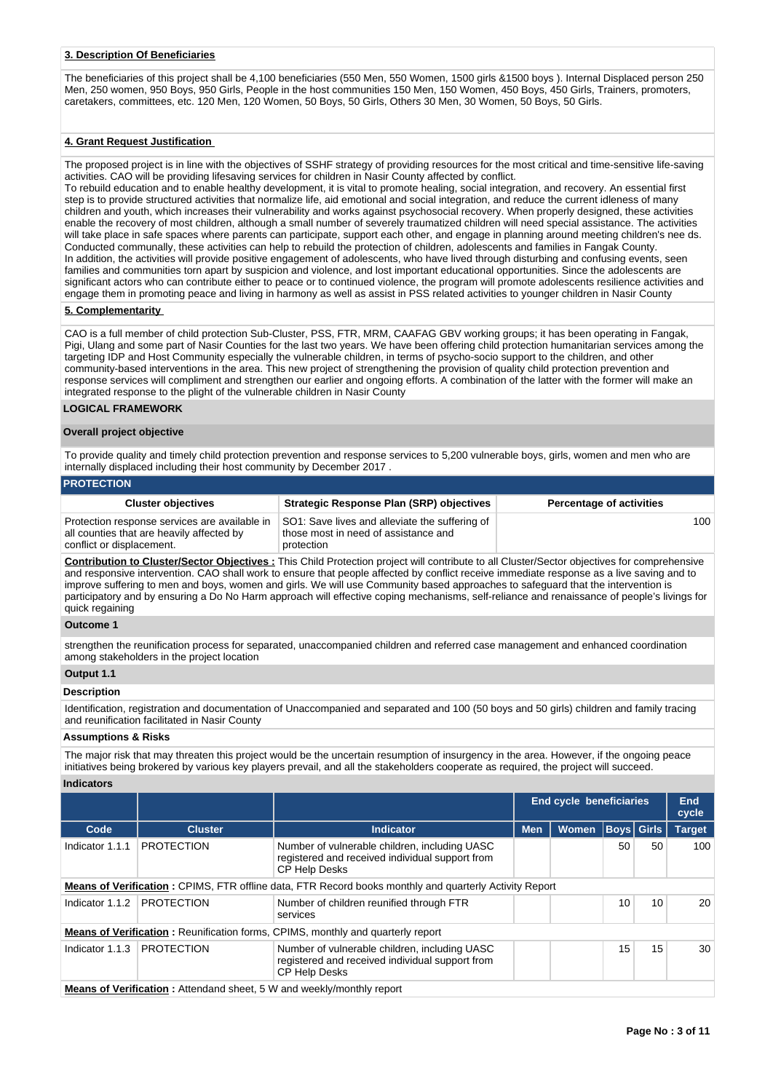#### **3. Description Of Beneficiaries**

The beneficiaries of this project shall be 4,100 beneficiaries (550 Men, 550 Women, 1500 girls &1500 boys ). Internal Displaced person 250 Men, 250 women, 950 Boys, 950 Girls, People in the host communities 150 Men, 150 Women, 450 Boys, 450 Girls, Trainers, promoters, caretakers, committees, etc. 120 Men, 120 Women, 50 Boys, 50 Girls, Others 30 Men, 30 Women, 50 Boys, 50 Girls.

#### **4. Grant Request Justification**

The proposed project is in line with the objectives of SSHF strategy of providing resources for the most critical and time-sensitive life-saving activities. CAO will be providing lifesaving services for children in Nasir County affected by conflict.

To rebuild education and to enable healthy development, it is vital to promote healing, social integration, and recovery. An essential first step is to provide structured activities that normalize life, aid emotional and social integration, and reduce the current idleness of many children and youth, which increases their vulnerability and works against psychosocial recovery. When properly designed, these activities enable the recovery of most children, although a small number of severely traumatized children will need special assistance. The activities will take place in safe spaces where parents can participate, support each other, and engage in planning around meeting children's nee ds. Conducted communally, these activities can help to rebuild the protection of children, adolescents and families in Fangak County. In addition, the activities will provide positive engagement of adolescents, who have lived through disturbing and confusing events, seen families and communities torn apart by suspicion and violence, and lost important educational opportunities. Since the adolescents are significant actors who can contribute either to peace or to continued violence, the program will promote adolescents resilience activities and engage them in promoting peace and living in harmony as well as assist in PSS related activities to younger children in Nasir County

#### **5. Complementarity**

CAO is a full member of child protection Sub-Cluster, PSS, FTR, MRM, CAAFAG GBV working groups; it has been operating in Fangak, Pigi, Ulang and some part of Nasir Counties for the last two years. We have been offering child protection humanitarian services among the targeting IDP and Host Community especially the vulnerable children, in terms of psycho-socio support to the children, and other community-based interventions in the area. This new project of strengthening the provision of quality child protection prevention and response services will compliment and strengthen our earlier and ongoing efforts. A combination of the latter with the former will make an integrated response to the plight of the vulnerable children in Nasir County

#### **LOGICAL FRAMEWORK**

#### **Overall project objective**

To provide quality and timely child protection prevention and response services to 5,200 vulnerable boys, girls, women and men who are internally displaced including their host community by December 2017 .

#### **PROTECTION**

| <b>Cluster objectives</b>                                                                                               | Strategic Response Plan (SRP) objectives                                                             | <b>Percentage of activities</b> |
|-------------------------------------------------------------------------------------------------------------------------|------------------------------------------------------------------------------------------------------|---------------------------------|
| Protection response services are available in<br>all counties that are heavily affected by<br>conflict or displacement. | SO1: Save lives and alleviate the suffering of<br>those most in need of assistance and<br>protection | 100                             |

**Contribution to Cluster/Sector Objectives :** This Child Protection project will contribute to all Cluster/Sector objectives for comprehensive and responsive intervention. CAO shall work to ensure that people affected by conflict receive immediate response as a live saving and to improve suffering to men and boys, women and girls. We will use Community based approaches to safeguard that the intervention is participatory and by ensuring a Do No Harm approach will effective coping mechanisms, self-reliance and renaissance of people's livings for quick regaining

#### **Outcome 1**

strengthen the reunification process for separated, unaccompanied children and referred case management and enhanced coordination among stakeholders in the project location

# **Output 1.1**

#### **Description**

Identification, registration and documentation of Unaccompanied and separated and 100 (50 boys and 50 girls) children and family tracing and reunification facilitated in Nasir County

#### **Assumptions & Risks**

The major risk that may threaten this project would be the uncertain resumption of insurgency in the area. However, if the ongoing peace initiatives being brokered by various key players prevail, and all the stakeholders cooperate as required, the project will succeed.

#### **Indicators**

|                 |                                                                              |                                                                                                                          | <b>End cycle beneficiaries</b> |              |    |                   | End<br>cycle  |  |
|-----------------|------------------------------------------------------------------------------|--------------------------------------------------------------------------------------------------------------------------|--------------------------------|--------------|----|-------------------|---------------|--|
| Code            | <b>Cluster</b>                                                               | <b>Indicator</b>                                                                                                         | <b>Men</b>                     | <b>Women</b> |    | <b>Boys</b> Girls | <b>Target</b> |  |
| Indicator 1.1.1 | <b>PROTECTION</b>                                                            | Number of vulnerable children, including UASC<br>registered and received individual support from<br><b>CP Help Desks</b> |                                |              | 50 | 50                | 100           |  |
|                 |                                                                              | <b>Means of Verification:</b> CPIMS, FTR offline data, FTR Record books monthly and quarterly Activity Report            |                                |              |    |                   |               |  |
| Indicator 1.1.2 | <b>PROTECTION</b>                                                            | Number of children reunified through FTR<br>services                                                                     |                                |              | 10 | 10                | 20            |  |
|                 |                                                                              | <b>Means of Verification:</b> Reunification forms, CPIMS, monthly and quarterly report                                   |                                |              |    |                   |               |  |
| Indicator 1.1.3 | <b>PROTECTION</b>                                                            | Number of vulnerable children, including UASC<br>registered and received individual support from<br><b>CP Help Desks</b> |                                |              | 15 | 15                | 30            |  |
|                 | <b>Means of Verification:</b> Attendand sheet, 5 W and weekly/monthly report |                                                                                                                          |                                |              |    |                   |               |  |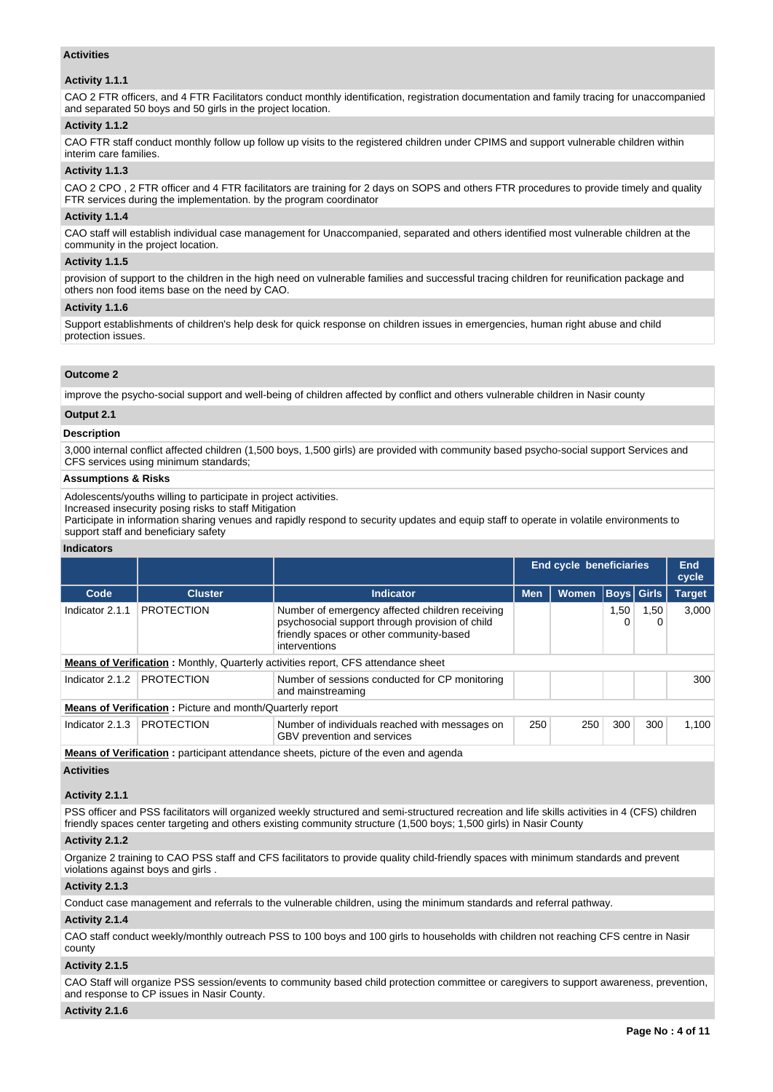## **Activities**

## **Activity 1.1.1**

CAO 2 FTR officers, and 4 FTR Facilitators conduct monthly identification, registration documentation and family tracing for unaccompanied and separated 50 boys and 50 girls in the project location.

## **Activity 1.1.2**

CAO FTR staff conduct monthly follow up follow up visits to the registered children under CPIMS and support vulnerable children within interim care families.

## **Activity 1.1.3**

CAO 2 CPO , 2 FTR officer and 4 FTR facilitators are training for 2 days on SOPS and others FTR procedures to provide timely and quality FTR services during the implementation. by the program coordinator

# **Activity 1.1.4**

CAO staff will establish individual case management for Unaccompanied, separated and others identified most vulnerable children at the community in the project location.

## **Activity 1.1.5**

provision of support to the children in the high need on vulnerable families and successful tracing children for reunification package and others non food items base on the need by CAO.

## **Activity 1.1.6**

Support establishments of children's help desk for quick response on children issues in emergencies, human right abuse and child protection issues.

## **Outcome 2**

improve the psycho-social support and well-being of children affected by conflict and others vulnerable children in Nasir county

#### **Output 2.1**

# **Description**

3,000 internal conflict affected children (1,500 boys, 1,500 girls) are provided with community based psycho-social support Services and CFS services using minimum standards;

#### **Assumptions & Risks**

Adolescents/youths willing to participate in project activities.

Increased insecurity posing risks to staff Mitigation

Participate in information sharing venues and rapidly respond to security updates and equip staff to operate in volatile environments to support staff and beneficiary safety

#### **Indicators**

|                 |                                                                  |                                                                                                                                                                 |                            | <b>End cycle beneficiaries</b> |           |                   | <b>End</b><br>cycle |  |  |  |  |
|-----------------|------------------------------------------------------------------|-----------------------------------------------------------------------------------------------------------------------------------------------------------------|----------------------------|--------------------------------|-----------|-------------------|---------------------|--|--|--|--|
| Code            | <b>Cluster</b>                                                   | <b>Indicator</b>                                                                                                                                                | <b>Men</b><br><b>Women</b> |                                |           | <b>Boys Girls</b> | <b>Target</b>       |  |  |  |  |
| Indicator 2.1.1 | <b>PROTECTION</b>                                                | Number of emergency affected children receiving<br>psychosocial support through provision of child<br>friendly spaces or other community-based<br>interventions |                            |                                | 1,50<br>0 | 1,50<br>0         | 3.000               |  |  |  |  |
|                 |                                                                  | <b>Means of Verification:</b> Monthly, Quarterly activities report, CFS attendance sheet                                                                        |                            |                                |           |                   |                     |  |  |  |  |
| Indicator 2.1.2 | <b>PROTECTION</b>                                                | Number of sessions conducted for CP monitoring<br>and mainstreaming                                                                                             |                            |                                |           |                   | 300                 |  |  |  |  |
|                 | <b>Means of Verification:</b> Picture and month/Quarterly report |                                                                                                                                                                 |                            |                                |           |                   |                     |  |  |  |  |
| Indicator 2.1.3 | <b>PROTECTION</b>                                                | Number of individuals reached with messages on<br>GBV prevention and services                                                                                   |                            | 250                            | 300       | 300               | 1.100               |  |  |  |  |
|                 |                                                                  | Magnes of Vaulflantinus cumululumet attausianum alumnta selatora of the second and appeala                                                                      |                            |                                |           |                   |                     |  |  |  |  |

**Means of Verification** : participant attendance sheets, picture of the even and agenda

#### **Activities**

#### **Activity 2.1.1**

PSS officer and PSS facilitators will organized weekly structured and semi-structured recreation and life skills activities in 4 (CFS) children friendly spaces center targeting and others existing community structure (1,500 boys; 1,500 girls) in Nasir County

#### **Activity 2.1.2**

Organize 2 training to CAO PSS staff and CFS facilitators to provide quality child-friendly spaces with minimum standards and prevent violations against boys and girls .

#### **Activity 2.1.3**

Conduct case management and referrals to the vulnerable children, using the minimum standards and referral pathway.

#### **Activity 2.1.4**

CAO staff conduct weekly/monthly outreach PSS to 100 boys and 100 girls to households with children not reaching CFS centre in Nasir county

#### **Activity 2.1.5**

CAO Staff will organize PSS session/events to community based child protection committee or caregivers to support awareness, prevention, and response to CP issues in Nasir County.

## **Activity 2.1.6**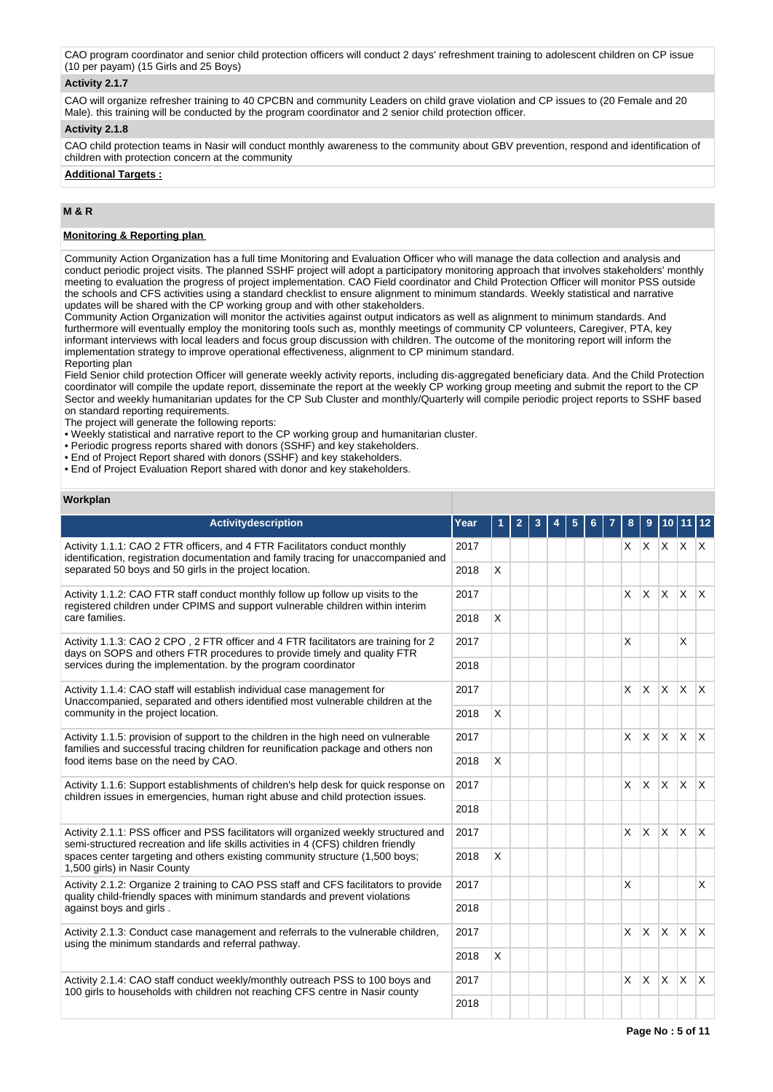CAO program coordinator and senior child protection officers will conduct 2 days' refreshment training to adolescent children on CP issue (10 per payam) (15 Girls and 25 Boys)

## **Activity 2.1.7**

CAO will organize refresher training to 40 CPCBN and community Leaders on child grave violation and CP issues to (20 Female and 20 Male). this training will be conducted by the program coordinator and 2 senior child protection officer.

## **Activity 2.1.8**

CAO child protection teams in Nasir will conduct monthly awareness to the community about GBV prevention, respond and identification of children with protection concern at the community

**Additional Targets :**

# **M & R**

# **Monitoring & Reporting plan**

Community Action Organization has a full time Monitoring and Evaluation Officer who will manage the data collection and analysis and conduct periodic project visits. The planned SSHF project will adopt a participatory monitoring approach that involves stakeholders' monthly meeting to evaluation the progress of project implementation. CAO Field coordinator and Child Protection Officer will monitor PSS outside the schools and CFS activities using a standard checklist to ensure alignment to minimum standards. Weekly statistical and narrative updates will be shared with the CP working group and with other stakeholders.

Community Action Organization will monitor the activities against output indicators as well as alignment to minimum standards. And furthermore will eventually employ the monitoring tools such as, monthly meetings of community CP volunteers, Caregiver, PTA, key informant interviews with local leaders and focus group discussion with children. The outcome of the monitoring report will inform the implementation strategy to improve operational effectiveness, alignment to CP minimum standard. Reporting plan

Field Senior child protection Officer will generate weekly activity reports, including dis-aggregated beneficiary data. And the Child Protection coordinator will compile the update report, disseminate the report at the weekly CP working group meeting and submit the report to the CP Sector and weekly humanitarian updates for the CP Sub Cluster and monthly/Quarterly will compile periodic project reports to SSHF based on standard reporting requirements.

The project will generate the following reports:

• Weekly statistical and narrative report to the CP working group and humanitarian cluster.

- Periodic progress reports shared with donors (SSHF) and key stakeholders.
- End of Project Report shared with donors (SSHF) and key stakeholders.
- End of Project Evaluation Report shared with donor and key stakeholders.

#### **Workplan**

| Activitydescription                                                                                                                                                         | Year |   | 2 |  |  | 8        | 9            | 10                  | l 11     |              |
|-----------------------------------------------------------------------------------------------------------------------------------------------------------------------------|------|---|---|--|--|----------|--------------|---------------------|----------|--------------|
| Activity 1.1.1: CAO 2 FTR officers, and 4 FTR Facilitators conduct monthly<br>identification, registration documentation and family tracing for unaccompanied and           | 2017 |   |   |  |  |          |              | $X$ $X$ $X$ $X$ $X$ |          |              |
| separated 50 boys and 50 girls in the project location.                                                                                                                     | 2018 | X |   |  |  |          |              |                     |          |              |
| Activity 1.1.2: CAO FTR staff conduct monthly follow up follow up visits to the<br>registered children under CPIMS and support vulnerable children within interim           | 2017 |   |   |  |  | X        | <b>X</b>     | $\times$            | <b>X</b> | $\mathsf{X}$ |
| care families.                                                                                                                                                              | 2018 | X |   |  |  |          |              |                     |          |              |
| Activity 1.1.3: CAO 2 CPO, 2 FTR officer and 4 FTR facilitators are training for 2<br>days on SOPS and others FTR procedures to provide timely and quality FTR              | 2017 |   |   |  |  | X        |              |                     | X        |              |
| services during the implementation, by the program coordinator                                                                                                              |      |   |   |  |  |          |              |                     |          |              |
| Activity 1.1.4: CAO staff will establish individual case management for<br>Unaccompanied, separated and others identified most vulnerable children at the                   | 2017 |   |   |  |  | X        | $\mathsf{X}$ | <b>X</b>            | ΙX.      | $\mathsf{X}$ |
| community in the project location.                                                                                                                                          |      | X |   |  |  |          |              |                     |          |              |
| Activity 1.1.5: provision of support to the children in the high need on vulnerable<br>families and successful tracing children for reunification package and others non    |      |   |   |  |  | X        | ΙX.          | <b>X</b>            | ΙX.      | $\mathsf{X}$ |
| food items base on the need by CAO.                                                                                                                                         | 2018 | X |   |  |  |          |              |                     |          |              |
| Activity 1.1.6: Support establishments of children's help desk for quick response on<br>children issues in emergencies, human right abuse and child protection issues.      | 2017 |   |   |  |  | X        | $\mathsf{X}$ | <b>X</b>            | ΙX.      | $\mathsf{X}$ |
|                                                                                                                                                                             | 2018 |   |   |  |  |          |              |                     |          |              |
| Activity 2.1.1: PSS officer and PSS facilitators will organized weekly structured and<br>semi-structured recreation and life skills activities in 4 (CFS) children friendly | 2017 |   |   |  |  | <b>X</b> | $\mathsf{X}$ | Ix.                 | ΙX.      | $\mathsf{X}$ |
| spaces center targeting and others existing community structure (1,500 boys;<br>1,500 girls) in Nasir County                                                                | 2018 | X |   |  |  |          |              |                     |          |              |
| Activity 2.1.2: Organize 2 training to CAO PSS staff and CFS facilitators to provide<br>quality child-friendly spaces with minimum standards and prevent violations         | 2017 |   |   |  |  | X        |              |                     |          | X            |
| against boys and girls.                                                                                                                                                     | 2018 |   |   |  |  |          |              |                     |          |              |
| Activity 2.1.3: Conduct case management and referrals to the vulnerable children,<br>using the minimum standards and referral pathway.                                      | 2017 |   |   |  |  | X        | Ιx.          | $\times$            | ΙX.      | $\mathsf{X}$ |
|                                                                                                                                                                             |      | X |   |  |  |          |              |                     |          |              |
| Activity 2.1.4: CAO staff conduct weekly/monthly outreach PSS to 100 boys and<br>100 girls to households with children not reaching CFS centre in Nasir county              |      |   |   |  |  | X        | ΙX.          | <b>X</b>            | ΙX.      | $\mathsf{X}$ |
|                                                                                                                                                                             | 2018 |   |   |  |  |          |              |                     |          |              |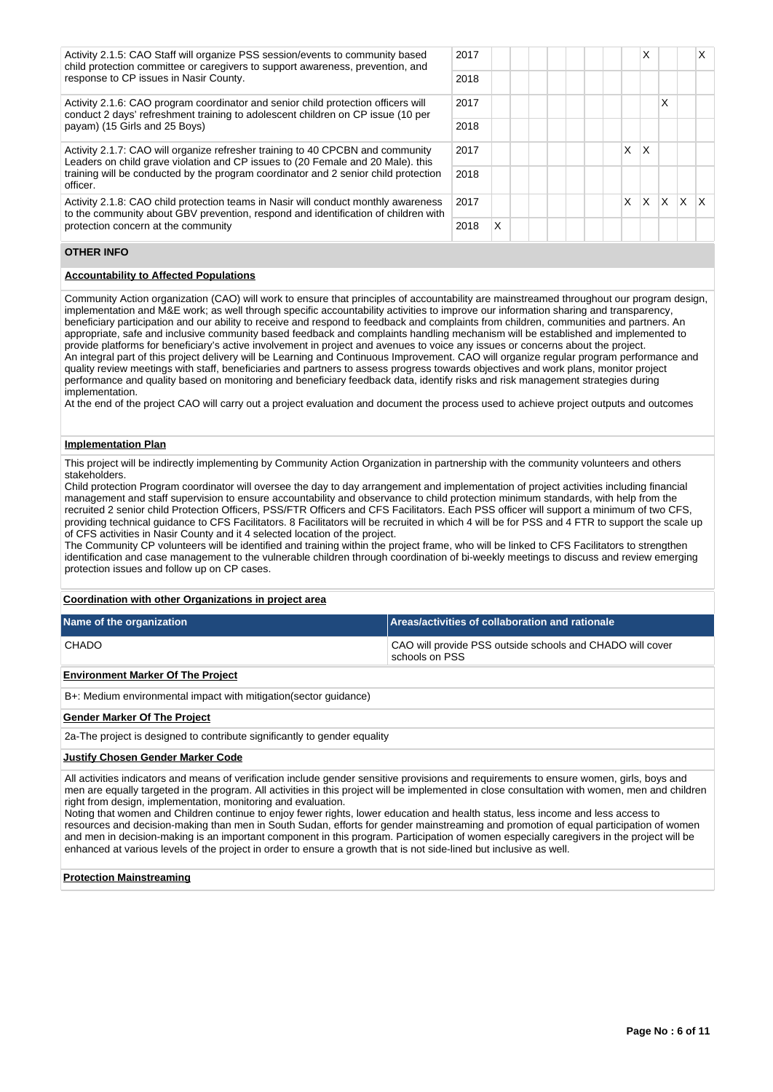Activity 2.1.5: CAO Staff will organize PSS session/events to community based child protection committee or caregivers to support awareness, prevention, and response to CP issues in Nasir County.

Activity 2.1.6: CAO program coordinator and senior child protection officers will conduct 2 days' refreshment training to adolescent children on CP issue (10 per payam) (15 Girls and 25 Boys)

Activity 2.1.7: CAO will organize refresher training to 40 CPCBN and community Leaders on child grave violation and CP issues to (20 Female and 20 Male). this training will be conducted by the program coordinator and 2 senior child protection officer.

Activity 2.1.8: CAO child protection teams in Nasir will conduct monthly awareness to the community about GBV prevention, respond and identification of children with protection concern at the community

| 2017 |   |  |  |  |          | $\times$ |                          | X            |
|------|---|--|--|--|----------|----------|--------------------------|--------------|
| 2018 |   |  |  |  |          |          |                          |              |
| 2017 |   |  |  |  |          |          | X                        |              |
| 2018 |   |  |  |  |          |          |                          |              |
| 2017 |   |  |  |  | $\times$ | ΙX       |                          |              |
| 2018 |   |  |  |  |          |          |                          |              |
| 2017 |   |  |  |  |          |          | $X \mid X \mid X \mid X$ | $\mathsf{X}$ |
| 2018 | X |  |  |  |          |          |                          |              |

## **OTHER INFO**

# **Accountability to Affected Populations**

Community Action organization (CAO) will work to ensure that principles of accountability are mainstreamed throughout our program design, implementation and M&E work; as well through specific accountability activities to improve our information sharing and transparency, beneficiary participation and our ability to receive and respond to feedback and complaints from children, communities and partners. An appropriate, safe and inclusive community based feedback and complaints handling mechanism will be established and implemented to provide platforms for beneficiary's active involvement in project and avenues to voice any issues or concerns about the project. An integral part of this project delivery will be Learning and Continuous Improvement. CAO will organize regular program performance and quality review meetings with staff, beneficiaries and partners to assess progress towards objectives and work plans, monitor project performance and quality based on monitoring and beneficiary feedback data, identify risks and risk management strategies during implementation.

At the end of the project CAO will carry out a project evaluation and document the process used to achieve project outputs and outcomes

#### **Implementation Plan**

This project will be indirectly implementing by Community Action Organization in partnership with the community volunteers and others stakeholders.

Child protection Program coordinator will oversee the day to day arrangement and implementation of project activities including financial management and staff supervision to ensure accountability and observance to child protection minimum standards, with help from the recruited 2 senior child Protection Officers, PSS/FTR Officers and CFS Facilitators. Each PSS officer will support a minimum of two CFS, providing technical guidance to CFS Facilitators. 8 Facilitators will be recruited in which 4 will be for PSS and 4 FTR to support the scale up of CFS activities in Nasir County and it 4 selected location of the project.

The Community CP volunteers will be identified and training within the project frame, who will be linked to CFS Facilitators to strengthen identification and case management to the vulnerable children through coordination of bi-weekly meetings to discuss and review emerging protection issues and follow up on CP cases.

#### **Coordination with other Organizations in project area**

| Name of the organization                 | Areas/activities of collaboration and rationale                             |
|------------------------------------------|-----------------------------------------------------------------------------|
| CHADO                                    | CAO will provide PSS outside schools and CHADO will cover<br>schools on PSS |
| <b>Environment Marker Of The Project</b> |                                                                             |

B+: Medium environmental impact with mitigation(sector guidance)

#### **Gender Marker Of The Project**

2a-The project is designed to contribute significantly to gender equality

#### **Justify Chosen Gender Marker Code**

All activities indicators and means of verification include gender sensitive provisions and requirements to ensure women, girls, boys and men are equally targeted in the program. All activities in this project will be implemented in close consultation with women, men and children right from design, implementation, monitoring and evaluation.

Noting that women and Children continue to enjoy fewer rights, lower education and health status, less income and less access to resources and decision-making than men in South Sudan, efforts for gender mainstreaming and promotion of equal participation of women and men in decision-making is an important component in this program. Participation of women especially caregivers in the project will be enhanced at various levels of the project in order to ensure a growth that is not side-lined but inclusive as well.

#### **Protection Mainstreaming**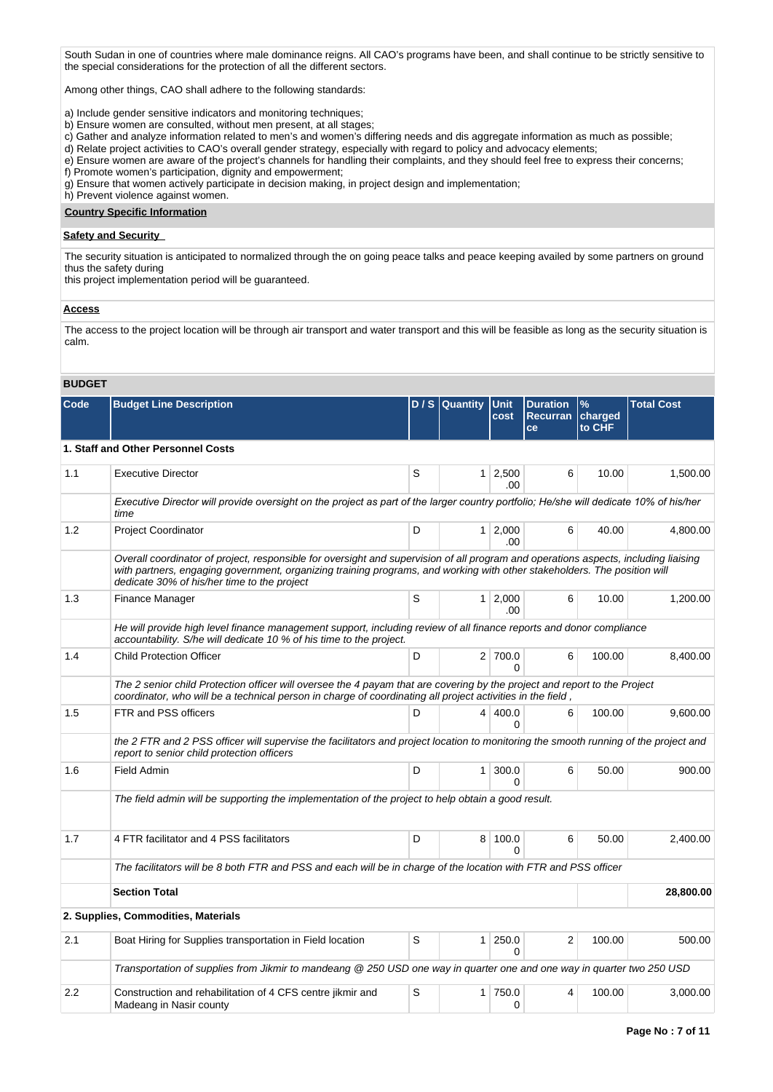South Sudan in one of countries where male dominance reigns. All CAO's programs have been, and shall continue to be strictly sensitive to the special considerations for the protection of all the different sectors.

Among other things, CAO shall adhere to the following standards:

- a) Include gender sensitive indicators and monitoring techniques;
- b) Ensure women are consulted, without men present, at all stages;
- c) Gather and analyze information related to men's and women's differing needs and dis aggregate information as much as possible;
- d) Relate project activities to CAO's overall gender strategy, especially with regard to policy and advocacy elements;
- e) Ensure women are aware of the project's channels for handling their complaints, and they should feel free to express their concerns;
- f) Promote women's participation, dignity and empowerment;
- g) Ensure that women actively participate in decision making, in project design and implementation;

h) Prevent violence against women.

# **Country Specific Information**

#### **Safety and Security**

The security situation is anticipated to normalized through the on going peace talks and peace keeping availed by some partners on ground thus the safety during

this project implementation period will be guaranteed.

#### **Access**

The access to the project location will be through air transport and water transport and this will be feasible as long as the security situation is calm.

# **BUDGET**

| Code | <b>Budget Line Description</b>                                                                                                                                                                                                                                                                                 |   | D / S Quantity | <b>Unit</b><br>cost   | <b>Duration</b><br>Recurran   charged<br>ce | $\%$<br>to CHF | <b>Total Cost</b> |
|------|----------------------------------------------------------------------------------------------------------------------------------------------------------------------------------------------------------------------------------------------------------------------------------------------------------------|---|----------------|-----------------------|---------------------------------------------|----------------|-------------------|
|      | 1. Staff and Other Personnel Costs                                                                                                                                                                                                                                                                             |   |                |                       |                                             |                |                   |
| 1.1  | <b>Executive Director</b>                                                                                                                                                                                                                                                                                      | S |                | $1 \mid 2,500$<br>.00 | 6                                           | 10.00          | 1,500.00          |
|      | Executive Director will provide oversight on the project as part of the larger country portfolio; He/she will dedicate 10% of his/her<br>time                                                                                                                                                                  |   |                |                       |                                             |                |                   |
| 1.2  | <b>Project Coordinator</b>                                                                                                                                                                                                                                                                                     | D |                | $1 \mid 2,000$<br>.00 | 6                                           | 40.00          | 4.800.00          |
|      | Overall coordinator of project, responsible for oversight and supervision of all program and operations aspects, including liaising<br>with partners, engaging government, organizing training programs, and working with other stakeholders. The position will<br>dedicate 30% of his/her time to the project |   |                |                       |                                             |                |                   |
| 1.3  | Finance Manager                                                                                                                                                                                                                                                                                                | S |                | $1 \mid 2,000$<br>.00 | 6                                           | 10.00          | 1,200.00          |
|      | He will provide high level finance management support, including review of all finance reports and donor compliance<br>accountability. S/he will dedicate 10 % of his time to the project.                                                                                                                     |   |                |                       |                                             |                |                   |
| 1.4  | <b>Child Protection Officer</b>                                                                                                                                                                                                                                                                                | D |                | 2 700.0<br>$\Omega$   | 6                                           | 100.00         | 8,400.00          |
|      | The 2 senior child Protection officer will oversee the 4 payam that are covering by the project and report to the Project<br>coordinator, who will be a technical person in charge of coordinating all project activities in the field,                                                                        |   |                |                       |                                             |                |                   |
| 1.5  | FTR and PSS officers                                                                                                                                                                                                                                                                                           | D |                | 4 400.0<br>$\Omega$   | 6                                           | 100.00         | 9,600.00          |
|      | the 2 FTR and 2 PSS officer will supervise the facilitators and project location to monitoring the smooth running of the project and<br>report to senior child protection officers                                                                                                                             |   |                |                       |                                             |                |                   |
| 1.6  | <b>Field Admin</b>                                                                                                                                                                                                                                                                                             | D | 1 <sup>1</sup> | 300.0<br>$\Omega$     | 6                                           | 50.00          | 900.00            |
|      | The field admin will be supporting the implementation of the project to help obtain a good result.                                                                                                                                                                                                             |   |                |                       |                                             |                |                   |
| 1.7  | 4 FTR facilitator and 4 PSS facilitators                                                                                                                                                                                                                                                                       | D | 8              | 100.0<br>0            | 6                                           | 50.00          | 2,400.00          |
|      | The facilitators will be 8 both FTR and PSS and each will be in charge of the location with FTR and PSS officer                                                                                                                                                                                                |   |                |                       |                                             |                |                   |
|      | <b>Section Total</b>                                                                                                                                                                                                                                                                                           |   |                |                       |                                             |                | 28,800.00         |
|      | 2. Supplies, Commodities, Materials                                                                                                                                                                                                                                                                            |   |                |                       |                                             |                |                   |
| 2.1  | Boat Hiring for Supplies transportation in Field location                                                                                                                                                                                                                                                      | S |                | $1 \mid 250.0$<br>0   | 2                                           | 100.00         | 500.00            |
|      | Transportation of supplies from Jikmir to mandeang @ 250 USD one way in quarter one and one way in quarter two 250 USD                                                                                                                                                                                         |   |                |                       |                                             |                |                   |
| 2.2  | Construction and rehabilitation of 4 CFS centre jikmir and<br>Madeang in Nasir county                                                                                                                                                                                                                          | S |                | 1 750.0<br>0          | 4                                           | 100.00         | 3,000.00          |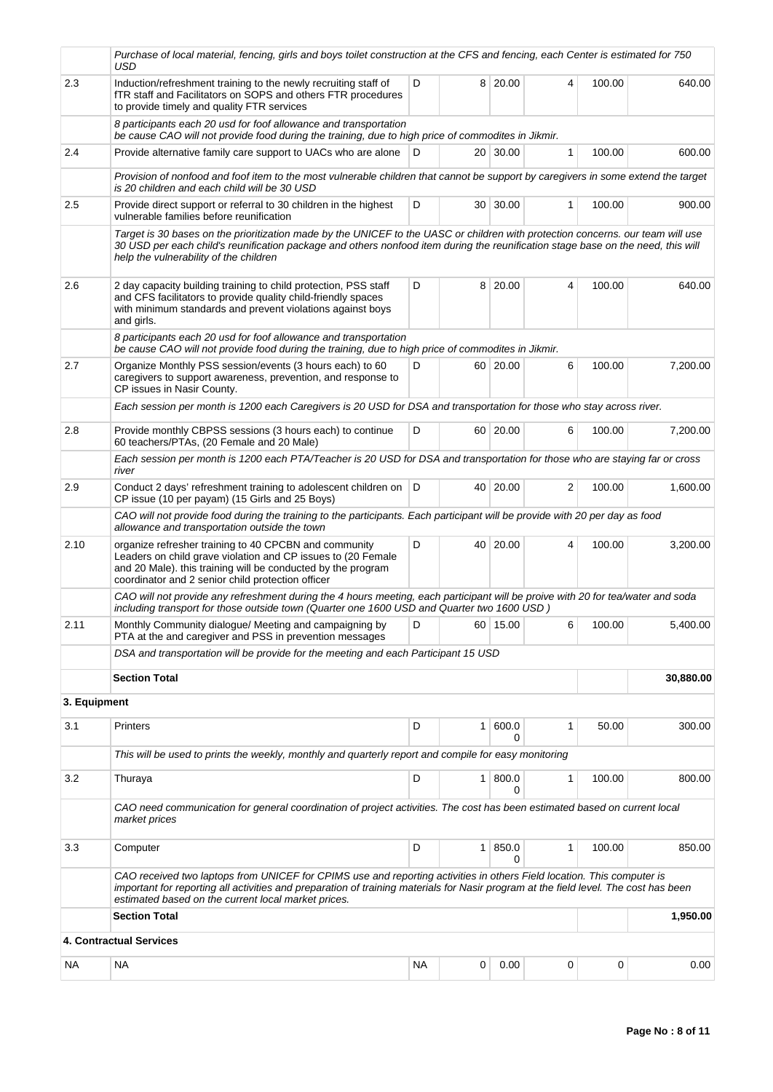|              | Purchase of local material, fencing, girls and boys toilet construction at the CFS and fencing, each Center is estimated for 750<br>USD                                                                                                                                                                               |           |                 |                   |              |        |           |
|--------------|-----------------------------------------------------------------------------------------------------------------------------------------------------------------------------------------------------------------------------------------------------------------------------------------------------------------------|-----------|-----------------|-------------------|--------------|--------|-----------|
| 2.3          | Induction/refreshment training to the newly recruiting staff of<br>fTR staff and Facilitators on SOPS and others FTR procedures<br>to provide timely and quality FTR services                                                                                                                                         | D         | 8               | 20.00             | 4            | 100.00 | 640.00    |
|              | 8 participants each 20 usd for foof allowance and transportation<br>be cause CAO will not provide food during the training, due to high price of commodites in Jikmir.                                                                                                                                                |           |                 |                   |              |        |           |
| 2.4          | Provide alternative family care support to UACs who are alone                                                                                                                                                                                                                                                         | D         |                 | 20 30.00          | $\mathbf{1}$ | 100.00 | 600.00    |
|              | Provision of nonfood and foof item to the most vulnerable children that cannot be support by caregivers in some extend the target<br>is 20 children and each child will be 30 USD                                                                                                                                     |           |                 |                   |              |        |           |
| 2.5          | Provide direct support or referral to 30 children in the highest<br>vulnerable families before reunification                                                                                                                                                                                                          | D         | 30 <sup>1</sup> | 30.00             | 1            | 100.00 | 900.00    |
|              | Target is 30 bases on the prioritization made by the UNICEF to the UASC or children with protection concerns. our team will use<br>30 USD per each child's reunification package and others nonfood item during the reunification stage base on the need, this will<br>help the vulnerability of the children         |           |                 |                   |              |        |           |
| 2.6          | 2 day capacity building training to child protection, PSS staff<br>and CFS facilitators to provide quality child-friendly spaces<br>with minimum standards and prevent violations against boys<br>and girls.                                                                                                          | D         | 8               | 20.00             | 4            | 100.00 | 640.00    |
|              | 8 participants each 20 usd for foof allowance and transportation<br>be cause CAO will not provide food during the training, due to high price of commodites in Jikmir.                                                                                                                                                |           |                 |                   |              |        |           |
| 2.7          | Organize Monthly PSS session/events (3 hours each) to 60<br>caregivers to support awareness, prevention, and response to<br>CP issues in Nasir County.                                                                                                                                                                | D         |                 | 60 20.00          | 6            | 100.00 | 7,200.00  |
|              | Each session per month is 1200 each Caregivers is 20 USD for DSA and transportation for those who stay across river.                                                                                                                                                                                                  |           |                 |                   |              |        |           |
| 2.8          | Provide monthly CBPSS sessions (3 hours each) to continue<br>60 teachers/PTAs, (20 Female and 20 Male)                                                                                                                                                                                                                | D         |                 | 60 20.00          | 6            | 100.00 | 7,200.00  |
|              | Each session per month is 1200 each PTA/Teacher is 20 USD for DSA and transportation for those who are staying far or cross<br>river                                                                                                                                                                                  |           |                 |                   |              |        |           |
| 2.9          | Conduct 2 days' refreshment training to adolescent children on   D<br>CP issue (10 per payam) (15 Girls and 25 Boys)                                                                                                                                                                                                  |           | 40 l            | 20.00             | 2            | 100.00 | 1,600.00  |
|              | CAO will not provide food during the training to the participants. Each participant will be provide with 20 per day as food<br>allowance and transportation outside the town                                                                                                                                          |           |                 |                   |              |        |           |
| 2.10         | organize refresher training to 40 CPCBN and community<br>Leaders on child grave violation and CP issues to (20 Female<br>and 20 Male). this training will be conducted by the program<br>coordinator and 2 senior child protection officer                                                                            | D         | 40              | 20.00             | 4            | 100.00 | 3,200.00  |
|              | CAO will not provide any refreshment during the 4 hours meeting, each participant will be proive with 20 for tea/water and soda<br>including transport for those outside town (Quarter one 1600 USD and Quarter two 1600 USD)                                                                                         |           |                 |                   |              |        |           |
| 2.11         | Monthly Community dialogue/ Meeting and campaigning by<br>PTA at the and caregiver and PSS in prevention messages                                                                                                                                                                                                     | D         |                 | 60 15.00          | 6            | 100.00 | 5,400.00  |
|              | DSA and transportation will be provide for the meeting and each Participant 15 USD                                                                                                                                                                                                                                    |           |                 |                   |              |        |           |
|              | <b>Section Total</b>                                                                                                                                                                                                                                                                                                  |           |                 |                   |              |        | 30,880.00 |
| 3. Equipment |                                                                                                                                                                                                                                                                                                                       |           |                 |                   |              |        |           |
| 3.1          | <b>Printers</b>                                                                                                                                                                                                                                                                                                       | D         | $\mathbf{1}$    | 600.0<br>$\Omega$ | 1            | 50.00  | 300.00    |
|              | This will be used to prints the weekly, monthly and quarterly report and compile for easy monitoring                                                                                                                                                                                                                  |           |                 |                   |              |        |           |
| 3.2          | Thuraya                                                                                                                                                                                                                                                                                                               | D         | 1               | 800.0<br>0        | 1            | 100.00 | 800.00    |
|              | CAO need communication for general coordination of project activities. The cost has been estimated based on current local<br>market prices                                                                                                                                                                            |           |                 |                   |              |        |           |
| 3.3          | Computer                                                                                                                                                                                                                                                                                                              | D         | 1 <sup>1</sup>  | 850.0             | 1            | 100.00 | 850.00    |
|              | CAO received two laptops from UNICEF for CPIMS use and reporting activities in others Field location. This computer is<br>important for reporting all activities and preparation of training materials for Nasir program at the field level. The cost has been<br>estimated based on the current local market prices. |           |                 |                   |              |        |           |
|              | <b>Section Total</b>                                                                                                                                                                                                                                                                                                  |           |                 |                   |              |        | 1,950.00  |
|              | 4. Contractual Services                                                                                                                                                                                                                                                                                               |           |                 |                   |              |        |           |
| NA.          | NA                                                                                                                                                                                                                                                                                                                    | <b>NA</b> | 0               | 0.00              | 0            | 0      | 0.00      |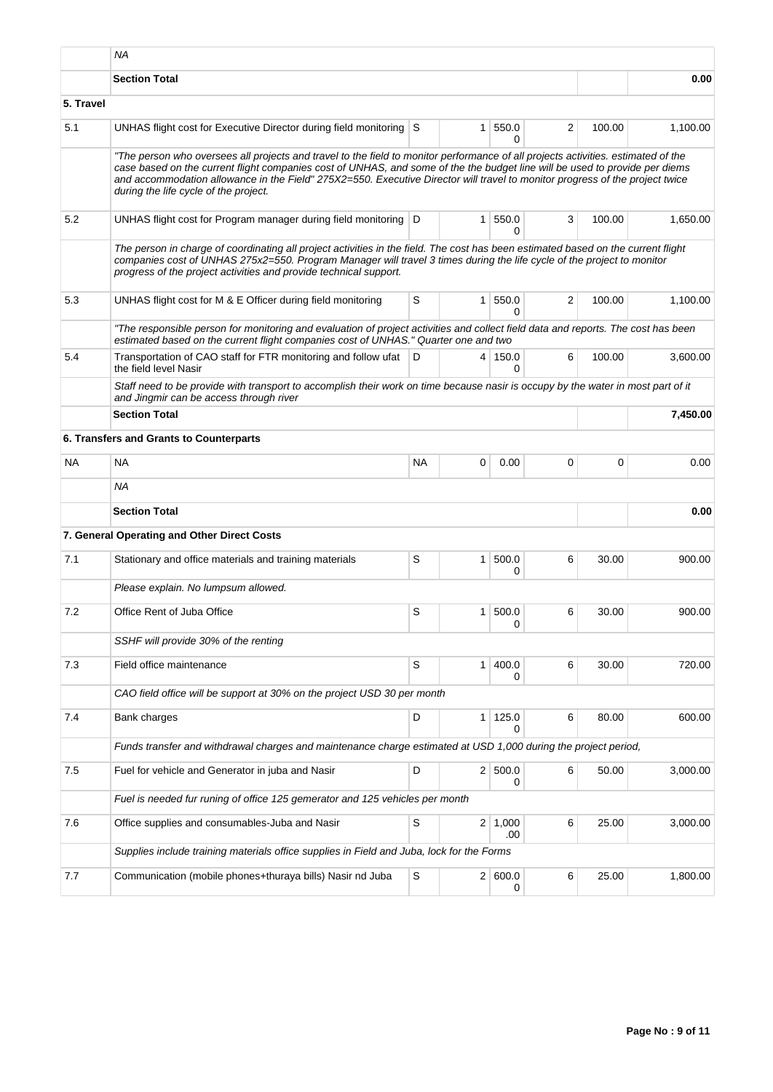|           | <b>NA</b>                                                                                                                                                                                                                                                                                                                                                                                                                                 |             |              |                       |                |        |          |
|-----------|-------------------------------------------------------------------------------------------------------------------------------------------------------------------------------------------------------------------------------------------------------------------------------------------------------------------------------------------------------------------------------------------------------------------------------------------|-------------|--------------|-----------------------|----------------|--------|----------|
|           | <b>Section Total</b>                                                                                                                                                                                                                                                                                                                                                                                                                      |             |              |                       |                |        | 0.00     |
| 5. Travel |                                                                                                                                                                                                                                                                                                                                                                                                                                           |             |              |                       |                |        |          |
| 5.1       | UNHAS flight cost for Executive Director during field monitoring S                                                                                                                                                                                                                                                                                                                                                                        |             | 1            | 550.0<br>0            | 2              | 100.00 | 1,100.00 |
|           | "The person who oversees all projects and travel to the field to monitor performance of all projects activities. estimated of the<br>case based on the current flight companies cost of UNHAS, and some of the the budget line will be used to provide per diems<br>and accommodation allowance in the Field" 275X2=550. Executive Director will travel to monitor progress of the project twice<br>during the life cycle of the project. |             |              |                       |                |        |          |
| 5.2       | UNHAS flight cost for Program manager during field monitoring   D                                                                                                                                                                                                                                                                                                                                                                         |             | 1            | 550.0<br>0            | 3              | 100.00 | 1.650.00 |
|           | The person in charge of coordinating all project activities in the field. The cost has been estimated based on the current flight<br>companies cost of UNHAS 275x2=550. Program Manager will travel 3 times during the life cycle of the project to monitor<br>progress of the project activities and provide technical support.                                                                                                          |             |              |                       |                |        |          |
| 5.3       | UNHAS flight cost for M & E Officer during field monitoring                                                                                                                                                                                                                                                                                                                                                                               | S           | 1            | 550.0<br>0            | $\overline{2}$ | 100.00 | 1,100.00 |
|           | "The responsible person for monitoring and evaluation of project activities and collect field data and reports. The cost has been<br>estimated based on the current flight companies cost of UNHAS." Quarter one and two                                                                                                                                                                                                                  |             |              |                       |                |        |          |
| 5.4       | Transportation of CAO staff for FTR monitoring and follow ufat<br>the field level Nasir                                                                                                                                                                                                                                                                                                                                                   | D           |              | 4 150.0<br>0          | 6              | 100.00 | 3.600.00 |
|           | Staff need to be provide with transport to accomplish their work on time because nasir is occupy by the water in most part of it<br>and Jingmir can be access through river                                                                                                                                                                                                                                                               |             |              |                       |                |        |          |
|           | <b>Section Total</b>                                                                                                                                                                                                                                                                                                                                                                                                                      |             |              |                       |                |        | 7,450.00 |
|           | 6. Transfers and Grants to Counterparts                                                                                                                                                                                                                                                                                                                                                                                                   |             |              |                       |                |        |          |
| <b>NA</b> | <b>NA</b>                                                                                                                                                                                                                                                                                                                                                                                                                                 | <b>NA</b>   | 0            | 0.00                  | 0              | 0      | 0.00     |
|           | <b>NA</b>                                                                                                                                                                                                                                                                                                                                                                                                                                 |             |              |                       |                |        |          |
|           | <b>Section Total</b>                                                                                                                                                                                                                                                                                                                                                                                                                      |             |              |                       |                |        | 0.00     |
|           | 7. General Operating and Other Direct Costs                                                                                                                                                                                                                                                                                                                                                                                               |             |              |                       |                |        |          |
| 7.1       | Stationary and office materials and training materials                                                                                                                                                                                                                                                                                                                                                                                    | S           | 1            | 500.0<br>0            | 6              | 30.00  | 900.00   |
|           | Please explain. No lumpsum allowed.                                                                                                                                                                                                                                                                                                                                                                                                       |             |              |                       |                |        |          |
| 7.2       | Office Rent of Juba Office                                                                                                                                                                                                                                                                                                                                                                                                                | S           | 1            | 500.0<br>0            | 6              | 30.00  | 900.00   |
|           | SSHF will provide 30% of the renting                                                                                                                                                                                                                                                                                                                                                                                                      |             |              |                       |                |        |          |
| 7.3       | Field office maintenance                                                                                                                                                                                                                                                                                                                                                                                                                  | $\mathsf S$ | $\mathbf{1}$ | 400.0<br>0            | 6              | 30.00  | 720.00   |
|           | CAO field office will be support at 30% on the project USD 30 per month                                                                                                                                                                                                                                                                                                                                                                   |             |              |                       |                |        |          |
| 7.4       | Bank charges                                                                                                                                                                                                                                                                                                                                                                                                                              | D           | 1            | 125.0<br>0            | 6              | 80.00  | 600.00   |
|           | Funds transfer and withdrawal charges and maintenance charge estimated at USD 1,000 during the project period,                                                                                                                                                                                                                                                                                                                            |             |              |                       |                |        |          |
| 7.5       | Fuel for vehicle and Generator in juba and Nasir                                                                                                                                                                                                                                                                                                                                                                                          | D           |              | 2 500.0<br>0          | 6              | 50.00  | 3,000.00 |
|           | Fuel is needed fur runing of office 125 gemerator and 125 vehicles per month                                                                                                                                                                                                                                                                                                                                                              |             |              |                       |                |        |          |
| 7.6       | Office supplies and consumables-Juba and Nasir                                                                                                                                                                                                                                                                                                                                                                                            | S           |              | $2 \mid 1,000$<br>.00 | 6              | 25.00  | 3,000.00 |
|           | Supplies include training materials office supplies in Field and Juba, lock for the Forms                                                                                                                                                                                                                                                                                                                                                 |             |              |                       |                |        |          |
| 7.7       | Communication (mobile phones+thuraya bills) Nasir nd Juba                                                                                                                                                                                                                                                                                                                                                                                 | S           |              | 2   600.0<br>0        | 6              | 25.00  | 1,800.00 |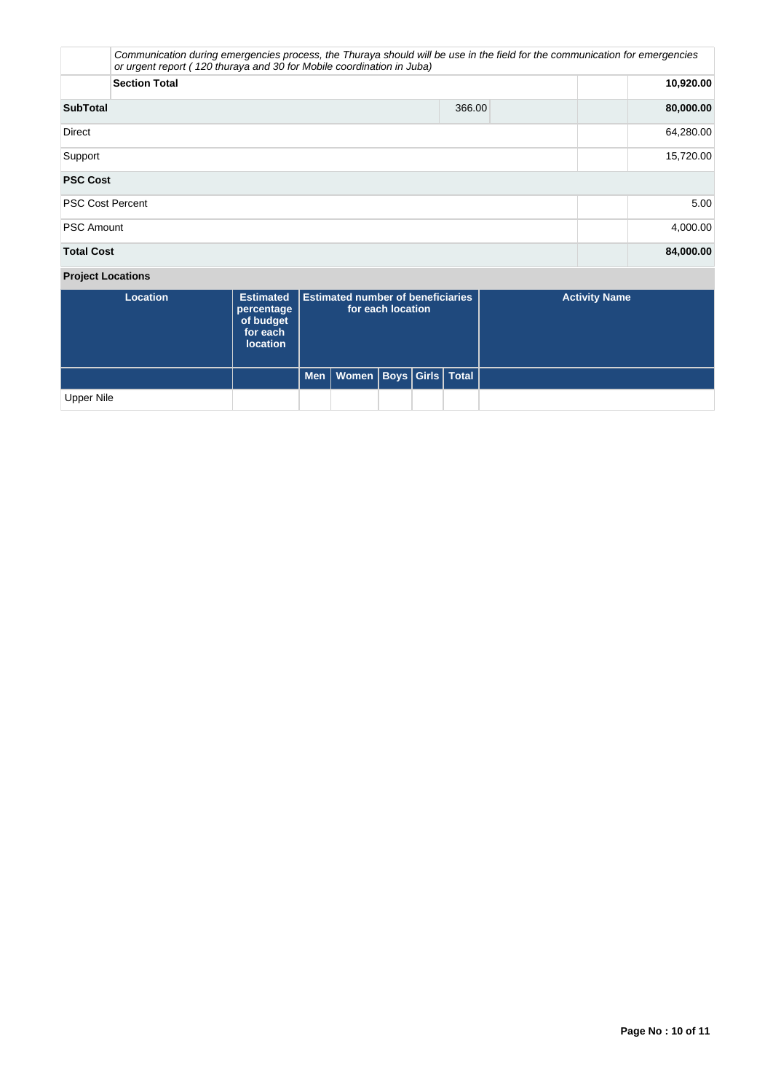|                               | Communication during emergencies process, the Thuraya should will be use in the field for the communication for emergencies<br>or urgent report (120 thuraya and 30 for Mobile coordination in Juba) |        |           |  |  |  |
|-------------------------------|------------------------------------------------------------------------------------------------------------------------------------------------------------------------------------------------------|--------|-----------|--|--|--|
|                               | <b>Section Total</b>                                                                                                                                                                                 |        | 10,920.00 |  |  |  |
| <b>SubTotal</b>               |                                                                                                                                                                                                      | 366.00 | 80,000.00 |  |  |  |
| <b>Direct</b>                 |                                                                                                                                                                                                      |        | 64,280.00 |  |  |  |
| Support                       |                                                                                                                                                                                                      |        | 15,720.00 |  |  |  |
| <b>PSC Cost</b>               |                                                                                                                                                                                                      |        |           |  |  |  |
| <b>PSC Cost Percent</b>       |                                                                                                                                                                                                      |        | 5.00      |  |  |  |
| <b>PSC Amount</b>             | 4,000.00                                                                                                                                                                                             |        |           |  |  |  |
| <b>Total Cost</b>             |                                                                                                                                                                                                      |        | 84,000.00 |  |  |  |
| Property of the second second |                                                                                                                                                                                                      |        |           |  |  |  |

# **Project Locations**

| <b>Location</b> | <b>Estimated</b><br>percentage<br>of budget<br>for each<br><b>location</b> | <b>Estimated number of beneficiaries</b><br>for each location |                                    |  |  | <b>Activity Name</b> |
|-----------------|----------------------------------------------------------------------------|---------------------------------------------------------------|------------------------------------|--|--|----------------------|
|                 |                                                                            |                                                               | Men   Women   Boys   Girls   Total |  |  |                      |
| Upper Nile      |                                                                            |                                                               |                                    |  |  |                      |